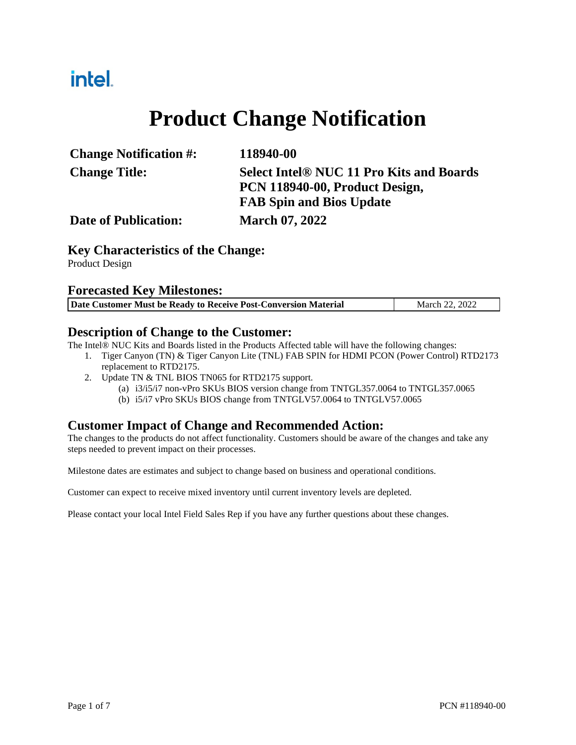## intel.

# **Product Change Notification**

| <b>Change Notification #:</b> | 118940-00                                       |
|-------------------------------|-------------------------------------------------|
| <b>Change Title:</b>          | <b>Select Intel® NUC 11 Pro Kits and Boards</b> |
|                               | PCN 118940-00, Product Design,                  |
|                               | <b>FAB Spin and Bios Update</b>                 |
| <b>Date of Publication:</b>   | <b>March 07, 2022</b>                           |

#### **Key Characteristics of the Change:**

Product Design

#### **Forecasted Key Milestones:**

| Date Customer Must be Ready to Receive Post-Conversion Material | March 22, 2022 |
|-----------------------------------------------------------------|----------------|

#### **Description of Change to the Customer:**

The Intel® NUC Kits and Boards listed in the Products Affected table will have the following changes:

- 1. Tiger Canyon (TN) & Tiger Canyon Lite (TNL) FAB SPIN for HDMI PCON (Power Control) RTD2173 replacement to RTD2175.
- 2. Update TN & TNL BIOS TN065 for RTD2175 support.
	- (a) i3/i5/i7 non-vPro SKUs BIOS version change from TNTGL357.0064 to TNTGL357.0065
	- (b) i5/i7 vPro SKUs BIOS change from TNTGLV57.0064 to TNTGLV57.0065

#### **Customer Impact of Change and Recommended Action:**

The changes to the products do not affect functionality. Customers should be aware of the changes and take any steps needed to prevent impact on their processes.

Milestone dates are estimates and subject to change based on business and operational conditions.

Customer can expect to receive mixed inventory until current inventory levels are depleted.

Please contact your local Intel Field Sales Rep if you have any further questions about these changes.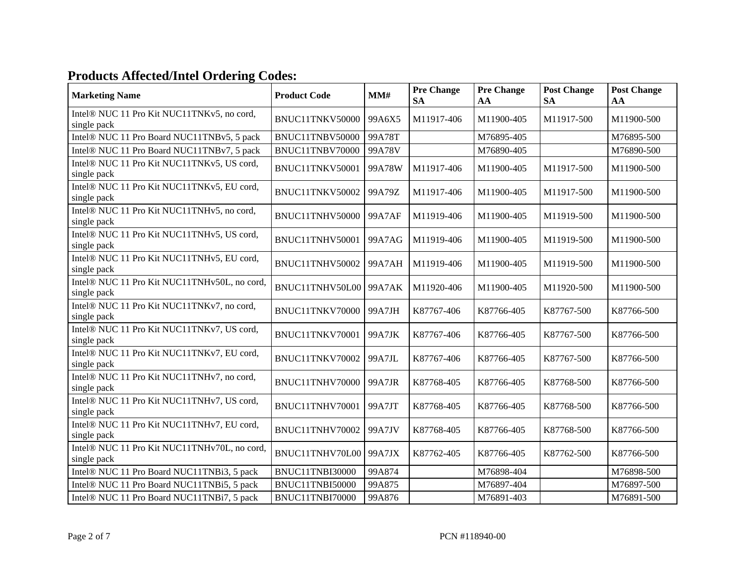### **Products Affected/Intel Ordering Codes:**

| <b>Marketing Name</b>                                       | <b>Product Code</b> | MM#    | <b>Pre Change</b><br><b>SA</b> | <b>Pre Change</b><br>AA | <b>Post Change</b><br><b>SA</b> | <b>Post Change</b><br>AA |
|-------------------------------------------------------------|---------------------|--------|--------------------------------|-------------------------|---------------------------------|--------------------------|
| Intel® NUC 11 Pro Kit NUC11TNKv5, no cord,<br>single pack   | BNUC11TNKV50000     | 99A6X5 | M11917-406                     | M11900-405              | M11917-500                      | M11900-500               |
| Intel® NUC 11 Pro Board NUC11TNBv5, 5 pack                  | BNUC11TNBV50000     | 99A78T |                                | M76895-405              |                                 | M76895-500               |
| Intel® NUC 11 Pro Board NUC11TNBv7, 5 pack                  | BNUC11TNBV70000     | 99A78V |                                | M76890-405              |                                 | M76890-500               |
| Intel® NUC 11 Pro Kit NUC11TNKv5, US cord,<br>single pack   | BNUC11TNKV50001     | 99A78W | M11917-406                     | M11900-405              | M11917-500                      | M11900-500               |
| Intel® NUC 11 Pro Kit NUC11TNKv5, EU cord,<br>single pack   | BNUC11TNKV50002     | 99A79Z | M11917-406                     | M11900-405              | M11917-500                      | M11900-500               |
| Intel® NUC 11 Pro Kit NUC11TNHv5, no cord,<br>single pack   | BNUC11TNHV50000     | 99A7AF | M11919-406                     | M11900-405              | M11919-500                      | M11900-500               |
| Intel® NUC 11 Pro Kit NUC11TNHv5, US cord,<br>single pack   | BNUC11TNHV50001     | 99A7AG | M11919-406                     | M11900-405              | M11919-500                      | M11900-500               |
| Intel® NUC 11 Pro Kit NUC11TNHv5, EU cord,<br>single pack   | BNUC11TNHV50002     | 99A7AH | M11919-406                     | M11900-405              | M11919-500                      | M11900-500               |
| Intel® NUC 11 Pro Kit NUC11TNHv50L, no cord,<br>single pack | BNUC11TNHV50L00     | 99A7AK | M11920-406                     | M11900-405              | M11920-500                      | M11900-500               |
| Intel® NUC 11 Pro Kit NUC11TNKv7, no cord,<br>single pack   | BNUC11TNKV70000     | 99A7JH | K87767-406                     | K87766-405              | K87767-500                      | K87766-500               |
| Intel® NUC 11 Pro Kit NUC11TNKv7, US cord,<br>single pack   | BNUC11TNKV70001     | 99A7JK | K87767-406                     | K87766-405              | K87767-500                      | K87766-500               |
| Intel® NUC 11 Pro Kit NUC11TNKv7, EU cord,<br>single pack   | BNUC11TNKV70002     | 99A7JL | K87767-406                     | K87766-405              | K87767-500                      | K87766-500               |
| Intel® NUC 11 Pro Kit NUC11TNHv7, no cord,<br>single pack   | BNUC11TNHV70000     | 99A7JR | K87768-405                     | K87766-405              | K87768-500                      | K87766-500               |
| Intel® NUC 11 Pro Kit NUC11TNHv7, US cord,<br>single pack   | BNUC11TNHV70001     | 99A7JT | K87768-405                     | K87766-405              | K87768-500                      | K87766-500               |
| Intel® NUC 11 Pro Kit NUC11TNHv7, EU cord,<br>single pack   | BNUC11TNHV70002     | 99A7JV | K87768-405                     | K87766-405              | K87768-500                      | K87766-500               |
| Intel® NUC 11 Pro Kit NUC11TNHv70L, no cord,<br>single pack | BNUC11TNHV70L00     | 99A7JX | K87762-405                     | K87766-405              | K87762-500                      | K87766-500               |
| Intel® NUC 11 Pro Board NUC11TNBi3, 5 pack                  | BNUC11TNBI30000     | 99A874 |                                | M76898-404              |                                 | M76898-500               |
| Intel® NUC 11 Pro Board NUC11TNBi5, 5 pack                  | BNUC11TNBI50000     | 99A875 |                                | M76897-404              |                                 | M76897-500               |
| Intel® NUC 11 Pro Board NUC11TNBi7, 5 pack                  | BNUC11TNBI70000     | 99A876 |                                | M76891-403              |                                 | M76891-500               |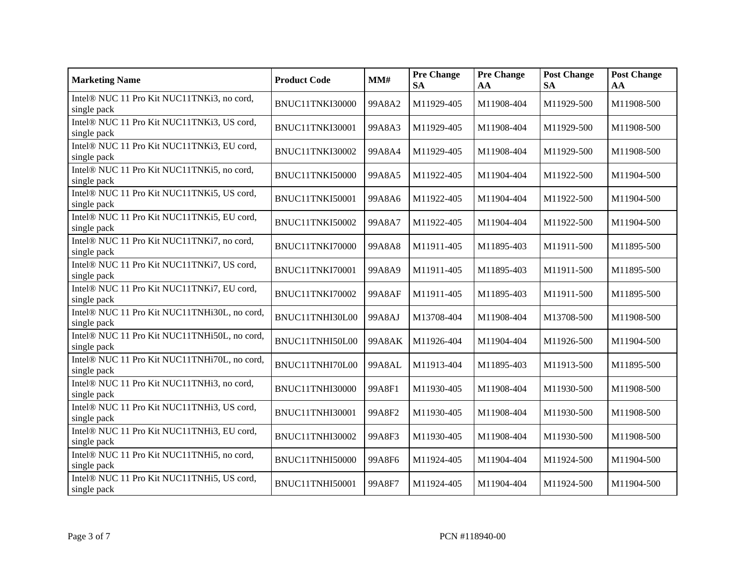| <b>Marketing Name</b>                                       | <b>Product Code</b> | MM#    | <b>Pre Change</b><br><b>SA</b> | <b>Pre Change</b><br>AA | <b>Post Change</b><br><b>SA</b> | <b>Post Change</b><br>AA |
|-------------------------------------------------------------|---------------------|--------|--------------------------------|-------------------------|---------------------------------|--------------------------|
| Intel® NUC 11 Pro Kit NUC11TNKi3, no cord,<br>single pack   | BNUC11TNKI30000     | 99A8A2 | M11929-405                     | M11908-404              | M11929-500                      | M11908-500               |
| Intel® NUC 11 Pro Kit NUC11TNKi3, US cord,<br>single pack   | BNUC11TNKI30001     | 99A8A3 | M11929-405                     | M11908-404              | M11929-500                      | M11908-500               |
| Intel® NUC 11 Pro Kit NUC11TNKi3, EU cord,<br>single pack   | BNUC11TNKI30002     | 99A8A4 | M11929-405                     | M11908-404              | M11929-500                      | M11908-500               |
| Intel® NUC 11 Pro Kit NUC11TNKi5, no cord,<br>single pack   | BNUC11TNKI50000     | 99A8A5 | M11922-405                     | M11904-404              | M11922-500                      | M11904-500               |
| Intel® NUC 11 Pro Kit NUC11TNKi5, US cord,<br>single pack   | BNUC11TNKI50001     | 99A8A6 | M11922-405                     | M11904-404              | M11922-500                      | M11904-500               |
| Intel® NUC 11 Pro Kit NUC11TNKi5, EU cord,<br>single pack   | BNUC11TNKI50002     | 99A8A7 | M11922-405                     | M11904-404              | M11922-500                      | M11904-500               |
| Intel® NUC 11 Pro Kit NUC11TNKi7, no cord,<br>single pack   | BNUC11TNKI70000     | 99A8A8 | M11911-405                     | M11895-403              | M11911-500                      | M11895-500               |
| Intel® NUC 11 Pro Kit NUC11TNKi7, US cord,<br>single pack   | BNUC11TNKI70001     | 99A8A9 | M11911-405                     | M11895-403              | M11911-500                      | M11895-500               |
| Intel® NUC 11 Pro Kit NUC11TNKi7, EU cord,<br>single pack   | BNUC11TNKI70002     | 99A8AF | M11911-405                     | M11895-403              | M11911-500                      | M11895-500               |
| Intel® NUC 11 Pro Kit NUC11TNHi30L, no cord,<br>single pack | BNUC11TNHI30L00     | 99A8AJ | M13708-404                     | M11908-404              | M13708-500                      | M11908-500               |
| Intel® NUC 11 Pro Kit NUC11TNHi50L, no cord,<br>single pack | BNUC11TNHI50L00     | 99A8AK | M11926-404                     | M11904-404              | M11926-500                      | M11904-500               |
| Intel® NUC 11 Pro Kit NUC11TNHi70L, no cord,<br>single pack | BNUC11TNHI70L00     | 99A8AL | M11913-404                     | M11895-403              | M11913-500                      | M11895-500               |
| Intel® NUC 11 Pro Kit NUC11TNHi3, no cord,<br>single pack   | BNUC11TNHI30000     | 99A8F1 | M11930-405                     | M11908-404              | M11930-500                      | M11908-500               |
| Intel® NUC 11 Pro Kit NUC11TNHi3, US cord,<br>single pack   | BNUC11TNHI30001     | 99A8F2 | M11930-405                     | M11908-404              | M11930-500                      | M11908-500               |
| Intel® NUC 11 Pro Kit NUC11TNHi3, EU cord,<br>single pack   | BNUC11TNHI30002     | 99A8F3 | M11930-405                     | M11908-404              | M11930-500                      | M11908-500               |
| Intel® NUC 11 Pro Kit NUC11TNHi5, no cord,<br>single pack   | BNUC11TNHI50000     | 99A8F6 | M11924-405                     | M11904-404              | M11924-500                      | M11904-500               |
| Intel® NUC 11 Pro Kit NUC11TNHi5, US cord,<br>single pack   | BNUC11TNHI50001     | 99A8F7 | M11924-405                     | M11904-404              | M11924-500                      | M11904-500               |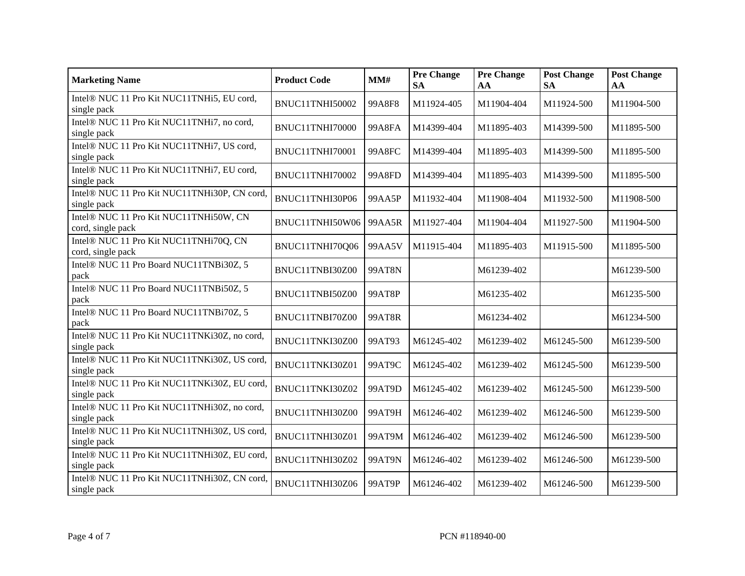| <b>Marketing Name</b>                                       | <b>Product Code</b> | MM#           | <b>Pre Change</b><br><b>SA</b> | <b>Pre Change</b><br>AA | <b>Post Change</b><br><b>SA</b> | <b>Post Change</b><br>AA |
|-------------------------------------------------------------|---------------------|---------------|--------------------------------|-------------------------|---------------------------------|--------------------------|
| Intel® NUC 11 Pro Kit NUC11TNHi5, EU cord,<br>single pack   | BNUC11TNHI50002     | 99A8F8        | M11924-405                     | M11904-404              | M11924-500                      | M11904-500               |
| Intel® NUC 11 Pro Kit NUC11TNHi7, no cord,<br>single pack   | BNUC11TNHI70000     | <b>99A8FA</b> | M14399-404                     | M11895-403              | M14399-500                      | M11895-500               |
| Intel® NUC 11 Pro Kit NUC11TNHi7, US cord,<br>single pack   | BNUC11TNHI70001     | <b>99A8FC</b> | M14399-404                     | M11895-403              | M14399-500                      | M11895-500               |
| Intel® NUC 11 Pro Kit NUC11TNHi7, EU cord,<br>single pack   | BNUC11TNHI70002     | 99A8FD        | M14399-404                     | M11895-403              | M14399-500                      | M11895-500               |
| Intel® NUC 11 Pro Kit NUC11TNHi30P, CN cord,<br>single pack | BNUC11TNHI30P06     | 99AA5P        | M11932-404                     | M11908-404              | M11932-500                      | M11908-500               |
| Intel® NUC 11 Pro Kit NUC11TNHi50W, CN<br>cord, single pack | BNUC11TNHI50W06     | 99AA5R        | M11927-404                     | M11904-404              | M11927-500                      | M11904-500               |
| Intel® NUC 11 Pro Kit NUC11TNHi70Q, CN<br>cord, single pack | BNUC11TNHI70Q06     | 99AA5V        | M11915-404                     | M11895-403              | M11915-500                      | M11895-500               |
| Intel® NUC 11 Pro Board NUC11TNBi30Z, 5<br>pack             | BNUC11TNBI30Z00     | <b>99AT8N</b> |                                | M61239-402              |                                 | M61239-500               |
| Intel® NUC 11 Pro Board NUC11TNBi50Z, 5<br>pack             | BNUC11TNBI50Z00     | 99AT8P        |                                | M61235-402              |                                 | M61235-500               |
| Intel® NUC 11 Pro Board NUC11TNBi70Z, 5<br>pack             | BNUC11TNBI70Z00     | 99AT8R        |                                | M61234-402              |                                 | M61234-500               |
| Intel® NUC 11 Pro Kit NUC11TNKi30Z, no cord,<br>single pack | BNUC11TNKI30Z00     | 99AT93        | M61245-402                     | M61239-402              | M61245-500                      | M61239-500               |
| Intel® NUC 11 Pro Kit NUC11TNKi30Z, US cord,<br>single pack | BNUC11TNKI30Z01     | 99AT9C        | M61245-402                     | M61239-402              | M61245-500                      | M61239-500               |
| Intel® NUC 11 Pro Kit NUC11TNKi30Z, EU cord,<br>single pack | BNUC11TNKI30Z02     | 99AT9D        | M61245-402                     | M61239-402              | M61245-500                      | M61239-500               |
| Intel® NUC 11 Pro Kit NUC11TNHi30Z, no cord,<br>single pack | BNUC11TNHI30Z00     | 99AT9H        | M61246-402                     | M61239-402              | M61246-500                      | M61239-500               |
| Intel® NUC 11 Pro Kit NUC11TNHi30Z, US cord,<br>single pack | BNUC11TNHI30Z01     | 99AT9M        | M61246-402                     | M61239-402              | M61246-500                      | M61239-500               |
| Intel® NUC 11 Pro Kit NUC11TNHi30Z, EU cord,<br>single pack | BNUC11TNHI30Z02     | <b>99AT9N</b> | M61246-402                     | M61239-402              | M61246-500                      | M61239-500               |
| Intel® NUC 11 Pro Kit NUC11TNHi30Z, CN cord,<br>single pack | BNUC11TNHI30Z06     | 99AT9P        | M61246-402                     | M61239-402              | M61246-500                      | M61239-500               |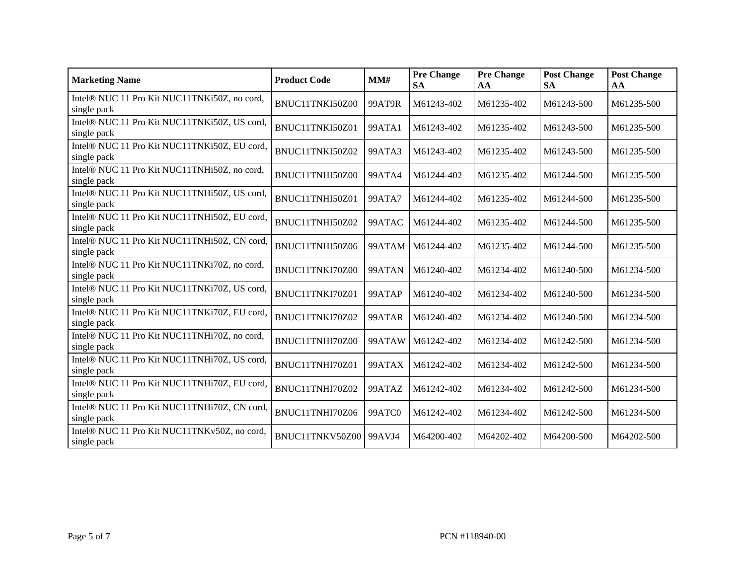| <b>Marketing Name</b>                                       | <b>Product Code</b> | MM#           | <b>Pre Change</b><br><b>SA</b> | <b>Pre Change</b><br>AA | <b>Post Change</b><br><b>SA</b> | <b>Post Change</b><br>AA |
|-------------------------------------------------------------|---------------------|---------------|--------------------------------|-------------------------|---------------------------------|--------------------------|
| Intel® NUC 11 Pro Kit NUC11TNKi50Z, no cord,<br>single pack | BNUC11TNKI50Z00     | 99AT9R        | M61243-402                     | M61235-402              | M61243-500                      | M61235-500               |
| Intel® NUC 11 Pro Kit NUC11TNKi50Z, US cord,<br>single pack | BNUC11TNKI50Z01     | 99ATA1        | M61243-402                     | M61235-402              | M61243-500                      | M61235-500               |
| Intel® NUC 11 Pro Kit NUC11TNKi50Z, EU cord,<br>single pack | BNUC11TNKI50Z02     | 99ATA3        | M61243-402                     | M61235-402              | M61243-500                      | M61235-500               |
| Intel® NUC 11 Pro Kit NUC11TNHi50Z, no cord,<br>single pack | BNUC11TNHI50Z00     | <b>99ATA4</b> | M61244-402                     | M61235-402              | M61244-500                      | M61235-500               |
| Intel® NUC 11 Pro Kit NUC11TNHi50Z, US cord,<br>single pack | BNUC11TNHI50Z01     | <b>99ATA7</b> | M61244-402                     | M61235-402              | M61244-500                      | M61235-500               |
| Intel® NUC 11 Pro Kit NUC11TNHi50Z, EU cord,<br>single pack | BNUC11TNHI50Z02     | 99ATAC        | M61244-402                     | M61235-402              | M61244-500                      | M61235-500               |
| Intel® NUC 11 Pro Kit NUC11TNHi50Z, CN cord,<br>single pack | BNUC11TNHI50Z06     | 99ATAM        | M61244-402                     | M61235-402              | M61244-500                      | M61235-500               |
| Intel® NUC 11 Pro Kit NUC11TNKi70Z, no cord,<br>single pack | BNUC11TNKI70Z00     | 99ATAN        | M61240-402                     | M61234-402              | M61240-500                      | M61234-500               |
| Intel® NUC 11 Pro Kit NUC11TNKi70Z, US cord,<br>single pack | BNUC11TNKI70Z01     | 99ATAP        | M61240-402                     | M61234-402              | M61240-500                      | M61234-500               |
| Intel® NUC 11 Pro Kit NUC11TNKi70Z, EU cord,<br>single pack | BNUC11TNKI70Z02     | 99ATAR        | M61240-402                     | M61234-402              | M61240-500                      | M61234-500               |
| Intel® NUC 11 Pro Kit NUC11TNHi70Z, no cord,<br>single pack | BNUC11TNHI70Z00     | 99ATAW        | M61242-402                     | M61234-402              | M61242-500                      | M61234-500               |
| Intel® NUC 11 Pro Kit NUC11TNHi70Z, US cord,<br>single pack | BNUC11TNHI70Z01     | 99ATAX        | M61242-402                     | M61234-402              | M61242-500                      | M61234-500               |
| Intel® NUC 11 Pro Kit NUC11TNHi70Z, EU cord,<br>single pack | BNUC11TNHI70Z02     | 99ATAZ        | M61242-402                     | M61234-402              | M61242-500                      | M61234-500               |
| Intel® NUC 11 Pro Kit NUC11TNHi70Z, CN cord,<br>single pack | BNUC11TNHI70Z06     | 99ATC0        | M61242-402                     | M61234-402              | M61242-500                      | M61234-500               |
| Intel® NUC 11 Pro Kit NUC11TNKv50Z, no cord,<br>single pack | BNUC11TNKV50Z00     | 99AVJ4        | M64200-402                     | M64202-402              | M64200-500                      | M64202-500               |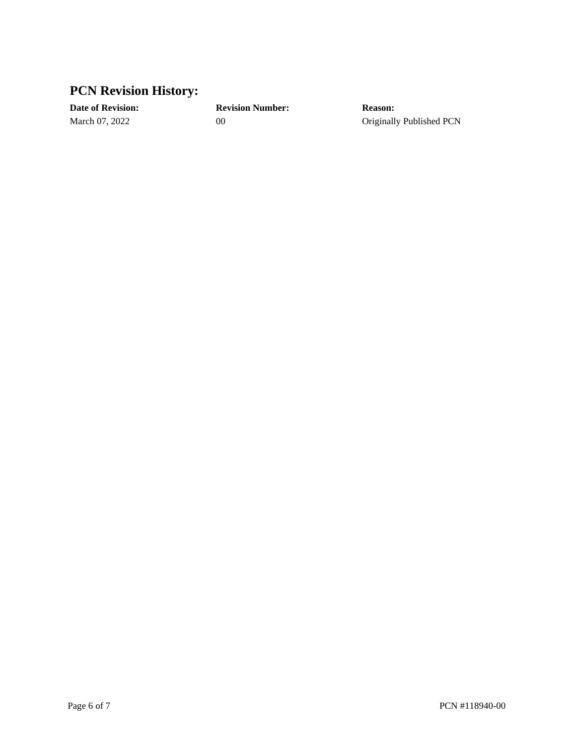### **PCN Revision History:**

**Date of Revision: Revision Number: Reason:**

March 07, 2022 00 00 Originally Published PCN